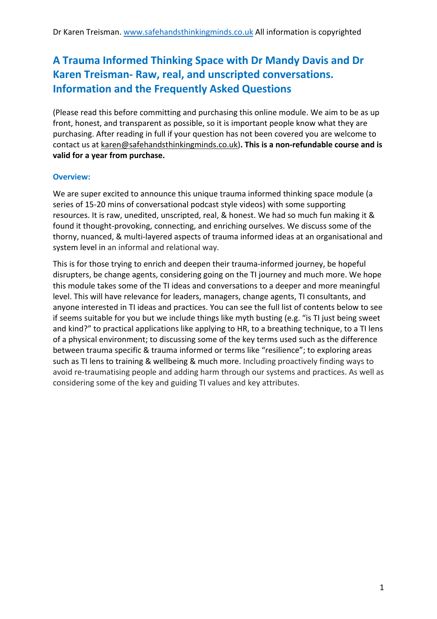# **A Trauma Informed Thinking Space with Dr Mandy Davis and Dr Karen Treisman- Raw, real, and unscripted conversations. Information and the Frequently Asked Questions**

(Please read this before committing and purchasing this online module. We aim to be as up front, honest, and transparent as possible, so it is important people know what they are purchasing. After reading in full if your question has not been covered you are welcome to contact us at karen@safehandsthinkingminds.co.uk)**. This is a non-refundable course and is valid for a year from purchase.**

#### **Overview:**

We are super excited to announce this unique trauma informed thinking space module (a series of 15-20 mins of conversational podcast style videos) with some supporting resources. It is raw, unedited, unscripted, real, & honest. We had so much fun making it & found it thought-provoking, connecting, and enriching ourselves. We discuss some of the thorny, nuanced, & multi-layered aspects of trauma informed ideas at an organisational and system level in an informal and relational way.

This is for those trying to enrich and deepen their trauma-informed journey, be hopeful disrupters, be change agents, considering going on the TI journey and much more. We hope this module takes some of the TI ideas and conversations to a deeper and more meaningful level. This will have relevance for leaders, managers, change agents, TI consultants, and anyone interested in TI ideas and practices. You can see the full list of contents below to see if seems suitable for you but we include things like myth busting (e.g. "is TI just being sweet and kind?" to practical applications like applying to HR, to a breathing technique, to a TI lens of a physical environment; to discussing some of the key terms used such as the difference between trauma specific & trauma informed or terms like "resilience"; to exploring areas such as TI lens to training & wellbeing & much more. Including proactively finding ways to avoid re-traumatising people and adding harm through our systems and practices. As well as considering some of the key and guiding TI values and key attributes.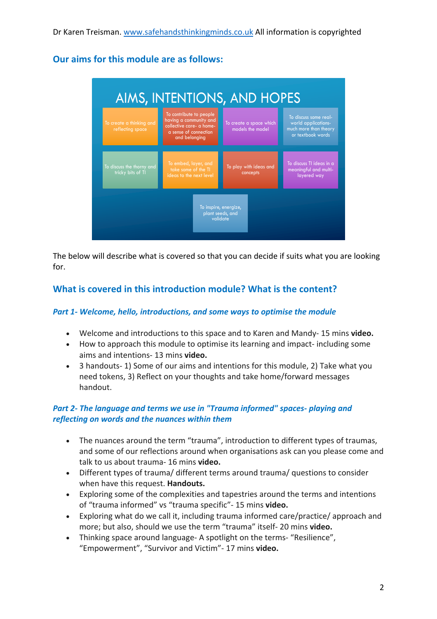**Our aims for this module are as follows:**

| <b>AIMS, INTENTIONS, AND HOPES</b>                    |                                                                                                                         |                                             |                                                                                            |
|-------------------------------------------------------|-------------------------------------------------------------------------------------------------------------------------|---------------------------------------------|--------------------------------------------------------------------------------------------|
| To create a thinking and<br>reflecting space          | To contribute to people<br>having a community and<br>collective care- a home-<br>a sense of connection<br>and belonging | To create a space which<br>models the model | To discuss some real-<br>world applications-<br>much more than theory<br>or textbook words |
| To discuss the thorny and<br>tricky bits of TI        | To embed, layer, and<br>take some of the TI<br>ideas to the next level                                                  | To play with ideas and<br>concepts          | To discuss TI ideas in a<br>meaningful and multi-<br>layered way                           |
| To inspire, energize,<br>plant seeds, and<br>validate |                                                                                                                         |                                             |                                                                                            |

The below will describe what is covered so that you can decide if suits what you are looking for.

# **What is covered in this introduction module? What is the content?**

#### *Part 1- Welcome, hello, introductions, and some ways to optimise the module*

- Welcome and introductions to this space and to Karen and Mandy- 15 mins **video.**
- How to approach this module to optimise its learning and impact- including some aims and intentions- 13 mins **video.**
- 3 handouts- 1) Some of our aims and intentions for this module, 2) Take what you need tokens, 3) Reflect on your thoughts and take home/forward messages handout.

#### *Part 2- The language and terms we use in "Trauma informed" spaces- playing and reflecting on words and the nuances within them*

- The nuances around the term "trauma", introduction to different types of traumas, and some of our reflections around when organisations ask can you please come and talk to us about trauma- 16 mins **video.**
- Different types of trauma/ different terms around trauma/ questions to consider when have this request. **Handouts.**
- Exploring some of the complexities and tapestries around the terms and intentions of "trauma informed" vs "trauma specific"- 15 mins **video.**
- Exploring what do we call it, including trauma informed care/practice/ approach and more; but also, should we use the term "trauma" itself- 20 mins **video.**
- Thinking space around language- A spotlight on the terms- "Resilience", "Empowerment", "Survivor and Victim"- 17 mins **video.**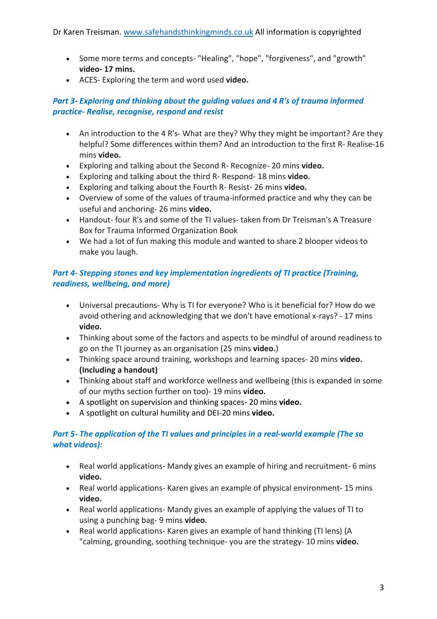- Some more terms and concepts- "Healing", "hope", "forgiveness", and "growth" **video- 17 mins.**
- ACES- Exploring the term and word used **video.**

#### *Part 3- Exploring and thinking about the guiding values and 4 R's of trauma informed practice- Realise, recognise, respond and resist*

- An introduction to the 4 R's- What are they? Why they might be important? Are they helpful? Some differences within them? And an introduction to the first R- Realise-16 mins **video.**
- Exploring and talking about the Second R- Recognize- 20 mins **video.**
- Exploring and talking about the third R- Respond- 18 mins **video.**
- Exploring and talking about the Fourth R- Resist- 26 mins **video.**
- Overview of some of the values of trauma-informed practice and why they can be useful and anchoring- 26 mins **video.**
- Handout- four R's and some of the TI values- taken from Dr Treisman's A Treasure Box for Trauma Informed Organization Book
- We had a lot of fun making this module and wanted to share 2 blooper videos to make you laugh.

## *Part 4- Stepping stones and key implementation ingredients of TI practice (Training, readiness, wellbeing, and more)*

- Universal precautions- Why is TI for everyone? Who is it beneficial for? How do we avoid othering and acknowledging that we don't have emotional x-rays? - 17 mins **video.**
- Thinking about some of the factors and aspects to be mindful of around readiness to go on the TI journey as an organisation (25 mins **video.**)
- Thinking space around training, workshops and learning spaces- 20 mins **video. (Including a handout)**
- Thinking about staff and workforce wellness and wellbeing (this is expanded in some of our myths section further on too)- 19 mins **video.**
- A spotlight on supervision and thinking spaces- 20 mins **video.**
- A spotlight on cultural humility and DEI-20 mins **video.**

#### *Part 5- The application of the TI values and principles in a real-world example (The so what videos):*

- Real world applications- Mandy gives an example of hiring and recruitment- 6 mins **video.**
- Real world applications- Karen gives an example of physical environment- 15 mins **video.**
- Real world applications- Mandy gives an example of applying the values of TI to using a punching bag- 9 mins **video.**
- Real world applications- Karen gives an example of hand thinking (TI lens) (A "calming, grounding, soothing technique- you are the strategy- 10 mins **video.**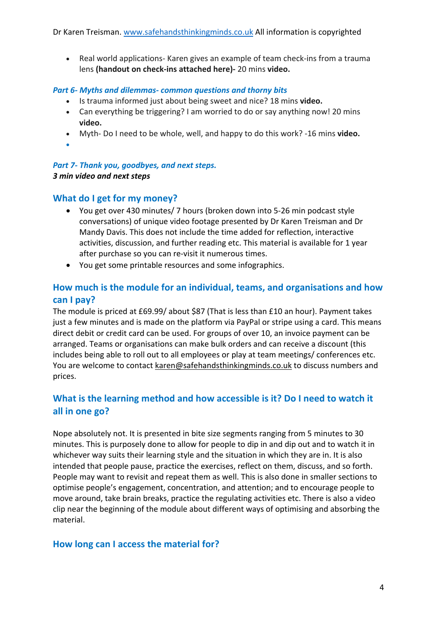• Real world applications- Karen gives an example of team check-ins from a trauma lens **(handout on check-ins attached here)-** 20 mins **video.**

#### *Part 6- Myths and dilemmas- common questions and thorny bits*

- Is trauma informed just about being sweet and nice? 18 mins **video.**
- Can everything be triggering? I am worried to do or say anything now! 20 mins **video.**
- Myth- Do I need to be whole, well, and happy to do this work? -16 mins **video.**
- •

*Part 7- Thank you, goodbyes, and next steps. 3 min video and next steps*

## **What do I get for my money?**

- You get over 430 minutes/ 7 hours (broken down into 5-26 min podcast style conversations) of unique video footage presented by Dr Karen Treisman and Dr Mandy Davis. This does not include the time added for reflection, interactive activities, discussion, and further reading etc. This material is available for 1 year after purchase so you can re-visit it numerous times.
- You get some printable resources and some infographics.

# **How much is the module for an individual, teams, and organisations and how can I pay?**

The module is priced at £69.99/ about \$87 (That is less than £10 an hour). Payment takes just a few minutes and is made on the platform via PayPal or stripe using a card. This means direct debit or credit card can be used. For groups of over 10, an invoice payment can be arranged. Teams or organisations can make bulk orders and can receive a discount (this includes being able to roll out to all employees or play at team meetings/ conferences etc. You are welcome to contact karen@safehandsthinkingminds.co.uk to discuss numbers and prices.

# **What is the learning method and how accessible is it? Do I need to watch it all in one go?**

Nope absolutely not. It is presented in bite size segments ranging from 5 minutes to 30 minutes. This is purposely done to allow for people to dip in and dip out and to watch it in whichever way suits their learning style and the situation in which they are in. It is also intended that people pause, practice the exercises, reflect on them, discuss, and so forth. People may want to revisit and repeat them as well. This is also done in smaller sections to optimise people's engagement, concentration, and attention; and to encourage people to move around, take brain breaks, practice the regulating activities etc. There is also a video clip near the beginning of the module about different ways of optimising and absorbing the material.

## **How long can I access the material for?**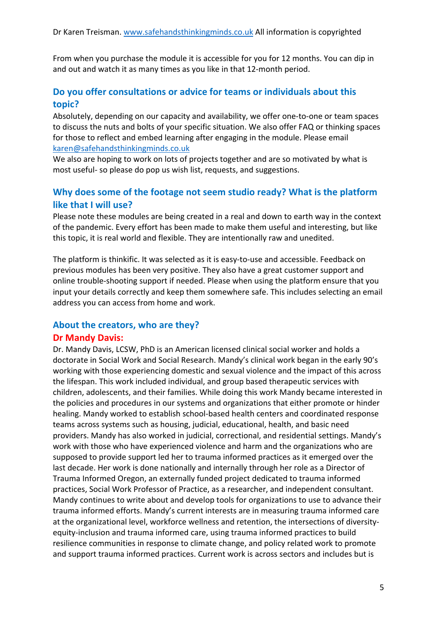From when you purchase the module it is accessible for you for 12 months. You can dip in and out and watch it as many times as you like in that 12-month period.

## **Do you offer consultations or advice for teams or individuals about this topic?**

Absolutely, depending on our capacity and availability, we offer one-to-one or team spaces to discuss the nuts and bolts of your specific situation. We also offer FAQ or thinking spaces for those to reflect and embed learning after engaging in the module. Please email karen@safehandsthinkingminds.co.uk

We also are hoping to work on lots of projects together and are so motivated by what is most useful- so please do pop us wish list, requests, and suggestions.

## **Why does some of the footage not seem studio ready? What is the platform like that I will use?**

Please note these modules are being created in a real and down to earth way in the context of the pandemic. Every effort has been made to make them useful and interesting, but like this topic, it is real world and flexible. They are intentionally raw and unedited.

The platform is thinkific. It was selected as it is easy-to-use and accessible. Feedback on previous modules has been very positive. They also have a great customer support and online trouble-shooting support if needed. Please when using the platform ensure that you input your details correctly and keep them somewhere safe. This includes selecting an email address you can access from home and work.

## **About the creators, who are they? Dr Mandy Davis:**

Dr. Mandy Davis, LCSW, PhD is an American licensed clinical social worker and holds a doctorate in Social Work and Social Research. Mandy's clinical work began in the early 90's working with those experiencing domestic and sexual violence and the impact of this across the lifespan. This work included individual, and group based therapeutic services with children, adolescents, and their families. While doing this work Mandy became interested in the policies and procedures in our systems and organizations that either promote or hinder healing. Mandy worked to establish school-based health centers and coordinated response teams across systems such as housing, judicial, educational, health, and basic need providers. Mandy has also worked in judicial, correctional, and residential settings. Mandy's work with those who have experienced violence and harm and the organizations who are supposed to provide support led her to trauma informed practices as it emerged over the last decade. Her work is done nationally and internally through her role as a Director of Trauma Informed Oregon, an externally funded project dedicated to trauma informed practices, Social Work Professor of Practice, as a researcher, and independent consultant. Mandy continues to write about and develop tools for organizations to use to advance their trauma informed efforts. Mandy's current interests are in measuring trauma informed care at the organizational level, workforce wellness and retention, the intersections of diversityequity-inclusion and trauma informed care, using trauma informed practices to build resilience communities in response to climate change, and policy related work to promote and support trauma informed practices. Current work is across sectors and includes but is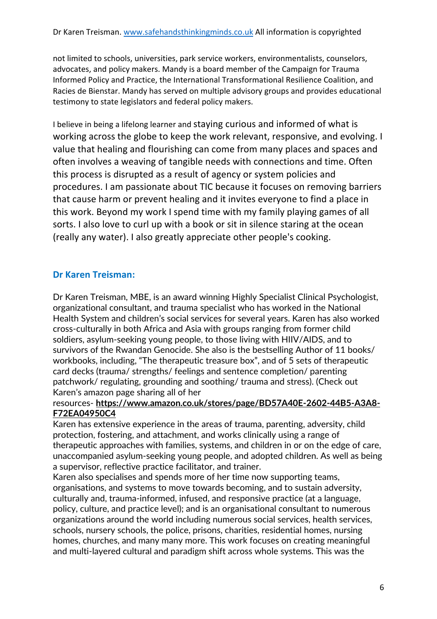not limited to schools, universities, park service workers, environmentalists, counselors, advocates, and policy makers. Mandy is a board member of the Campaign for Trauma Informed Policy and Practice, the International Transformational Resilience Coalition, and Racies de Bienstar. Mandy has served on multiple advisory groups and provides educational testimony to state legislators and federal policy makers.

I believe in being a lifelong learner and staying curious and informed of what is working across the globe to keep the work relevant, responsive, and evolving. I value that healing and flourishing can come from many places and spaces and often involves a weaving of tangible needs with connections and time. Often this process is disrupted as a result of agency or system policies and procedures. I am passionate about TIC because it focuses on removing barriers that cause harm or prevent healing and it invites everyone to find a place in this work. Beyond my work I spend time with my family playing games of all sorts. I also love to curl up with a book or sit in silence staring at the ocean (really any water). I also greatly appreciate other people's cooking.

# **Dr Karen Treisman:**

Dr Karen Treisman, MBE, is an award winning Highly Specialist Clinical Psychologist, organizational consultant, and trauma specialist who has worked in the National Health System and children's social services for several years. Karen has also worked cross-culturally in both Africa and Asia with groups ranging from former child soldiers, asylum-seeking young people, to those living with HIIV/AIDS, and to survivors of the Rwandan Genocide. She also is the bestselling Author of 11 books/ workbooks, including, "The therapeutic treasure box", and of 5 sets of therapeutic card decks (trauma/ strengths/ feelings and sentence completion/ parenting patchwork/ regulating, grounding and soothing/ trauma and stress). (Check out Karen's amazon page sharing all of her

#### resources- **https://www.amazon.co.uk/stores/page/BD57A40E-2602-44B5-A3A8- F72EA04950C4**

Karen has extensive experience in the areas of trauma, parenting, adversity, child protection, fostering, and attachment, and works clinically using a range of therapeutic approaches with families, systems, and children in or on the edge of care, unaccompanied asylum-seeking young people, and adopted children. As well as being a supervisor, reflective practice facilitator, and trainer.

Karen also specialises and spends more of her time now supporting teams, organisations, and systems to move towards becoming, and to sustain adversity, culturally and, trauma-informed, infused, and responsive practice (at a language, policy, culture, and practice level); and is an organisational consultant to numerous organizations around the world including numerous social services, health services, schools, nursery schools, the police, prisons, charities, residential homes, nursing homes, churches, and many many more. This work focuses on creating meaningful and multi-layered cultural and paradigm shift across whole systems. This was the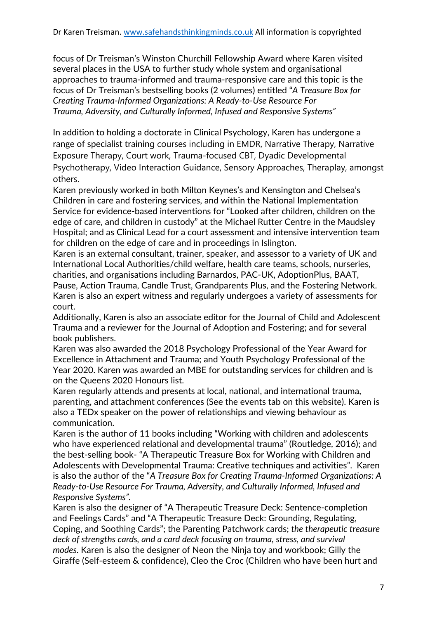focus of Dr Treisman's Winston Churchill Fellowship Award where Karen visited several places in the USA to further study whole system and organisational approaches to trauma-informed and trauma-responsive care and this topic is the focus of Dr Treisman's bestselling books (2 volumes) entitled "*A Treasure Box for Creating Trauma-Informed Organizations: A Ready-to-Use Resource For Trauma, Adversity, and Culturally Informed, Infused and Responsive Systems"*

In addition to holding a doctorate in Clinical Psychology, Karen has undergone a range of specialist training courses including in EMDR, Narrative Therapy, Narrative Exposure Therapy, Court work, Trauma-focused CBT, Dyadic Developmental Psychotherapy, Video Interaction Guidance, Sensory Approaches, Theraplay, amongst others.

Karen previously worked in both Milton Keynes's and Kensington and Chelsea's Children in care and fostering services, and within the National Implementation Service for evidence-based interventions for "Looked after children, children on the edge of care, and children in custody" at the Michael Rutter Centre in the Maudsley Hospital; and as Clinical Lead for a court assessment and intensive intervention team for children on the edge of care and in proceedings in Islington.

Karen is an external consultant, trainer, speaker, and assessor to a variety of UK and International Local Authorities/child welfare, health care teams, schools, nurseries, charities, and organisations including Barnardos, PAC-UK, AdoptionPlus, BAAT, Pause, Action Trauma, Candle Trust, Grandparents Plus, and the Fostering Network. Karen is also an expert witness and regularly undergoes a variety of assessments for court.

Additionally, Karen is also an associate editor for the Journal of Child and Adolescent Trauma and a reviewer for the Journal of Adoption and Fostering; and for several book publishers.

Karen was also awarded the 2018 Psychology Professional of the Year Award for Excellence in Attachment and Trauma; and Youth Psychology Professional of the Year 2020. Karen was awarded an MBE for outstanding services for children and is on the Queens 2020 Honours list.

Karen regularly attends and presents at local, national, and international trauma, parenting, and attachment conferences (See the events tab on this website). Karen is also a TEDx speaker on the power of relationships and viewing behaviour as communication.

Karen is the author of 11 books including "Working with children and adolescents who have experienced relational and developmental trauma" (Routledge, 2016); and the best-selling book- "A Therapeutic Treasure Box for Working with Children and Adolescents with Developmental Trauma: Creative techniques and activities". Karen is also the author of the "*A Treasure Box for Creating Trauma-Informed Organizations: A Ready-to-Use Resource For Trauma, Adversity, and Culturally Informed, Infused and Responsive Systems".* 

Karen is also the designer of "A Therapeutic Treasure Deck: Sentence-completion and Feelings Cards" and "A Therapeutic Treasure Deck: Grounding, Regulating, Coping, and Soothing Cards"; the Parenting Patchwork cards; *the therapeutic treasure deck of strengths cards, and a card deck focusing on trauma, stress, and survival modes.* Karen is also the designer of Neon the Ninja toy and workbook; Gilly the Giraffe (Self-esteem & confidence), Cleo the Croc (Children who have been hurt and